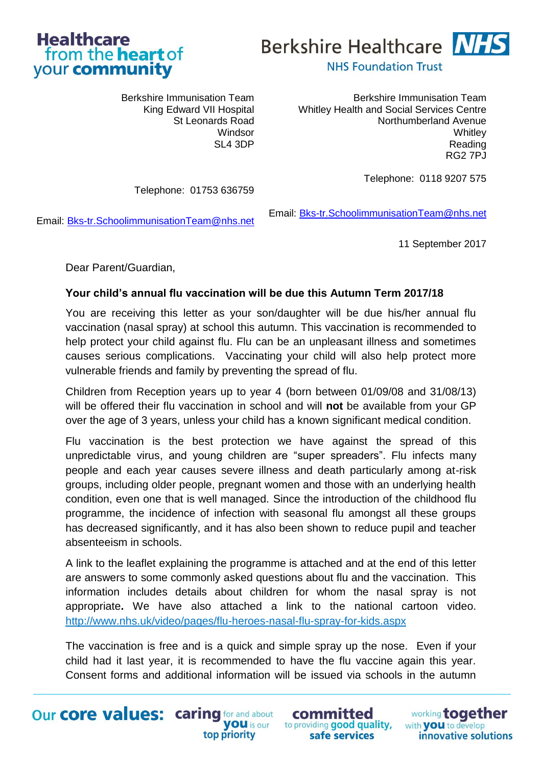



Berkshire Immunisation Team King Edward VII Hospital St Leonards Road Windsor SL4 3DP

Telephone: 01753 636759

Berkshire Immunisation Team Whitley Health and Social Services Centre Northumberland Avenue **Whitley** Reading RG2 7PJ

Telephone: 0118 9207 575

Email: [Bks-tr.SchoolimmunisationTeam@nhs.net](mailto:Bks-tr.SchoolimmunisationTeam@nhs.net)

Email: [Bks-tr.SchoolimmunisationTeam@nhs.net](mailto:Bks-tr.SchoolimmunisationTeam@nhs.net)

11 September 2017

Dear Parent/Guardian,

# **Your child's annual flu vaccination will be due this Autumn Term 2017/18**

You are receiving this letter as your son/daughter will be due his/her annual flu vaccination (nasal spray) at school this autumn. This vaccination is recommended to help protect your child against flu. Flu can be an unpleasant illness and sometimes causes serious complications. Vaccinating your child will also help protect more vulnerable friends and family by preventing the spread of flu.

Children from Reception years up to year 4 (born between 01/09/08 and 31/08/13) will be offered their flu vaccination in school and will **not** be available from your GP over the age of 3 years, unless your child has a known significant medical condition.

Flu vaccination is the best protection we have against the spread of this unpredictable virus, and young children are "super spreaders". Flu infects many people and each year causes severe illness and death particularly among at-risk groups, including older people, pregnant women and those with an underlying health condition, even one that is well managed. Since the introduction of the childhood flu programme, the incidence of infection with seasonal flu amongst all these groups has decreased significantly, and it has also been shown to reduce pupil and teacher absenteeism in schools.

A link to the leaflet explaining the programme is attached and at the end of this letter are answers to some commonly asked questions about flu and the vaccination. This information includes details about children for whom the nasal spray is not appropriate**.** We have also attached a link to the national cartoon video. <http://www.nhs.uk/video/pages/flu-heroes-nasal-flu-spray-for-kids.aspx>

The vaccination is free and is a quick and simple spray up the nose. Even if your child had it last year, it is recommended to have the flu vaccine again this year. Consent forms and additional information will be issued via schools in the autumn

top priority

Our core values: caring for and about **VOU** is our

committed to providing good quality, safe services

working together with **VOU** to develop innovative solutions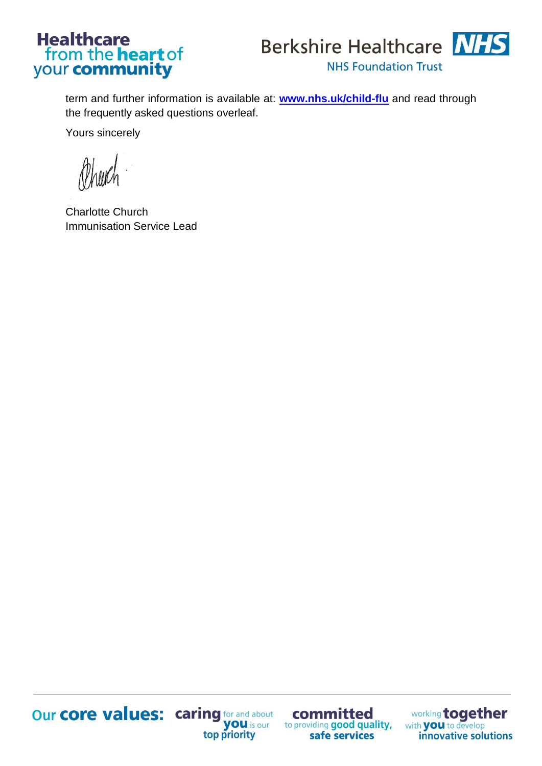# **Healthcare** from the **heart** of<br>your **community**



term and further information is available at: **[www.nhs.uk/child-flu](http://www.nhs.uk/child-flu)** and read through the frequently asked questions overleaf.

Yours sincerely

Charlotte Church Immunisation Service Lead



committed to providing good quality, safe services

**Our core values:** caring for and about<br>**you** is our<br>top priority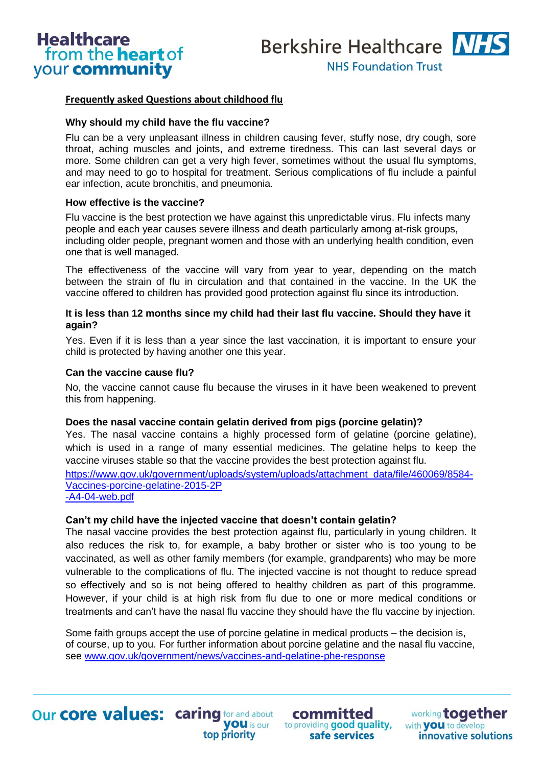

## **Frequently asked Questions about childhood flu**

#### **Why should my child have the flu vaccine?**

Flu can be a very unpleasant illness in children causing fever, stuffy nose, dry cough, sore throat, aching muscles and joints, and extreme tiredness. This can last several days or more. Some children can get a very high fever, sometimes without the usual flu symptoms, and may need to go to hospital for treatment. Serious complications of flu include a painful ear infection, acute bronchitis, and pneumonia.

#### **How effective is the vaccine?**

Flu vaccine is the best protection we have against this unpredictable virus. Flu infects many people and each year causes severe illness and death particularly among at-risk groups, including older people, pregnant women and those with an underlying health condition, even one that is well managed.

The effectiveness of the vaccine will vary from year to year, depending on the match between the strain of flu in circulation and that contained in the vaccine. In the UK the vaccine offered to children has provided good protection against flu since its introduction.

#### **It is less than 12 months since my child had their last flu vaccine. Should they have it again?**

Yes. Even if it is less than a year since the last vaccination, it is important to ensure your child is protected by having another one this year.

#### **Can the vaccine cause flu?**

No, the vaccine cannot cause flu because the viruses in it have been weakened to prevent this from happening.

#### **Does the nasal vaccine contain gelatin derived from pigs (porcine gelatin)?**

Yes. The nasal vaccine contains a highly processed form of gelatine (porcine gelatine), which is used in a range of many essential medicines. The gelatine helps to keep the vaccine viruses stable so that the vaccine provides the best protection against flu. [https://www.gov.uk/government/uploads/system/uploads/attachment\\_data/file/460069/8584-](https://www.gov.uk/government/uploads/system/uploads/attachment_data/file/460069/8584-Vaccines-porcine-gelatine-2015-2P) [Vaccines-porcine-gelatine-2015-2P](https://www.gov.uk/government/uploads/system/uploads/attachment_data/file/460069/8584-Vaccines-porcine-gelatine-2015-2P)  [-A4-04-web.pdf](https://www.gov.uk/government/uploads/system/uploads/attachment_data/file/460069/8584-Vaccines-porcine-gelatine-2015-2P)

#### **Can't my child have the injected vaccine that doesn't contain gelatin?**

top priority

The nasal vaccine provides the best protection against flu, particularly in young children. It also reduces the risk to, for example, a baby brother or sister who is too young to be vaccinated, as well as other family members (for example, grandparents) who may be more vulnerable to the complications of flu. The injected vaccine is not thought to reduce spread so effectively and so is not being offered to healthy children as part of this programme. However, if your child is at high risk from flu due to one or more medical conditions or treatments and can't have the nasal flu vaccine they should have the flu vaccine by injection.

Some faith groups accept the use of porcine gelatine in medical products – the decision is, of course, up to you. For further information about porcine gelatine and the nasal flu vaccine, see [www.gov.uk/government/news/vaccines-and-gelatine-phe-response](http://www.gov.uk/government/news/vaccines-and-gelatine-phe-response)

**Our core values: caring for and about** 

committed you is our to providing good quality, safe services

working together with **VOU** to develop innovative solutions